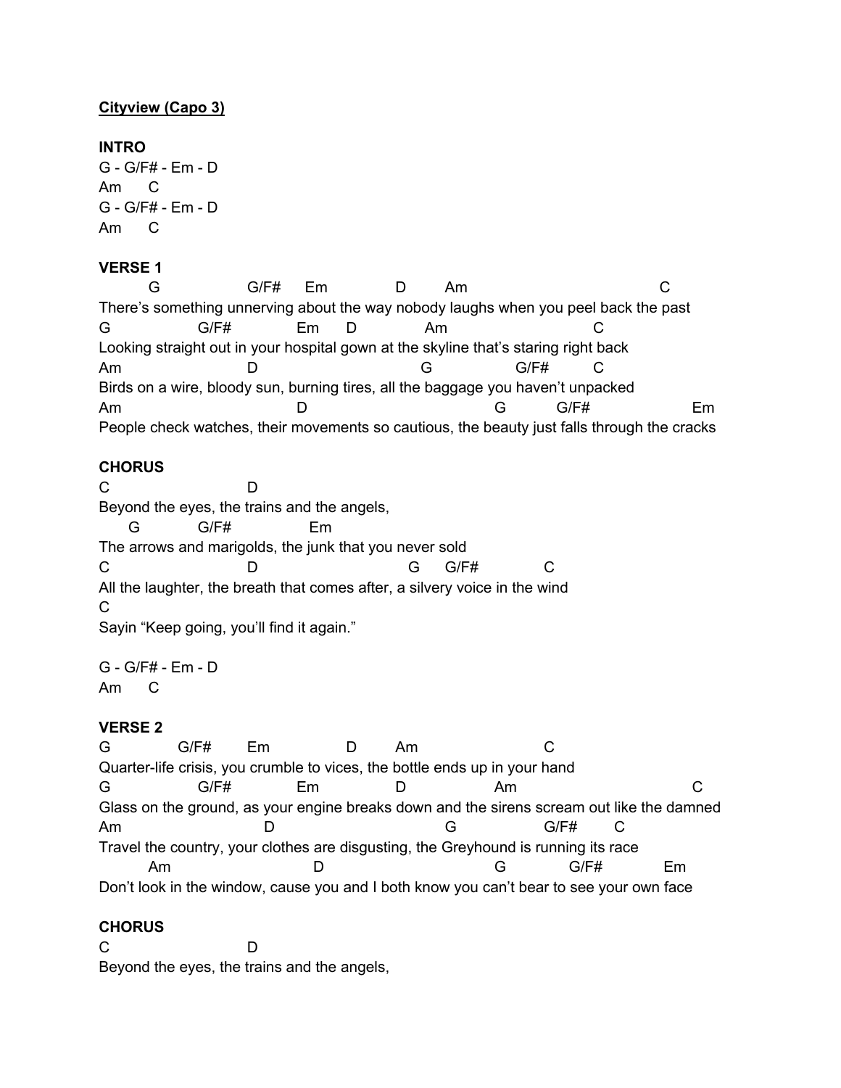# **Cityview (Capo 3)**

#### **INTRO**

G - G/F# - Em - D Am C G - G/F# - Em - D Am C

# **VERSE 1**

G G/F# Em D Am C There's something unnerving about the way nobody laughs when you peel back the past G G/F# Em D Am C Looking straight out in your hospital gown at the skyline that's staring right back Am D G G/F# C Birds on a wire, bloody sun, burning tires, all the baggage you haven't unpacked Am D G G/F# Em People check watches, their movements so cautious, the beauty just falls through the cracks

#### **CHORUS**

C D Beyond the eyes, the trains and the angels, G G/F# Em The arrows and marigolds, the junk that you never sold C D G G/F# C All the laughter, the breath that comes after, a silvery voice in the wind C Sayin "Keep going, you'll find it again."

G - G/F# - Em - D Am C

## **VERSE 2**

G G/F# Em D Am C Quarter-life crisis, you crumble to vices, the bottle ends up in your hand G G/F# Em D Am C Glass on the ground, as your engine breaks down and the sirens scream out like the damned Am D G G/F# C Travel the country, your clothes are disgusting, the Greyhound is running its race Am D G G/F# Em Don't look in the window, cause you and I both know you can't bear to see your own face

## **CHORUS**

C D Beyond the eyes, the trains and the angels,